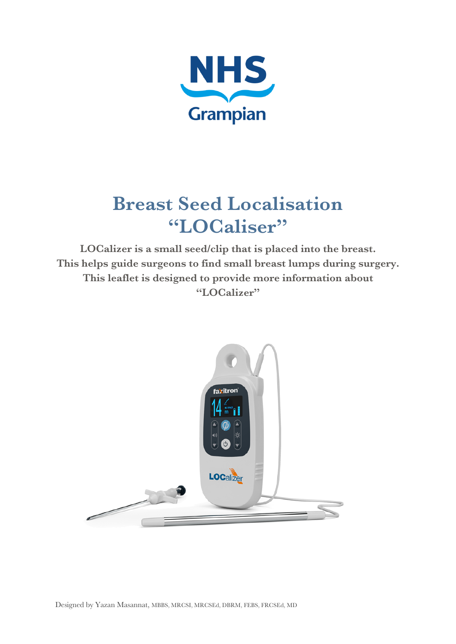

# **Breast Seed Localisation "LOCaliser"**

**LOCalizer is a small seed/clip that is placed into the breast. This helps guide surgeons to find small breast lumps during surgery. This leaflet is designed to provide more information about "LOCalizer"**

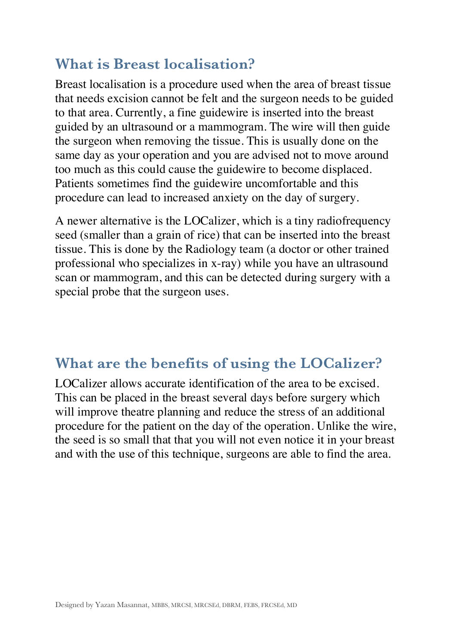## **What is Breast localisation?**

Breast localisation is a procedure used when the area of breast tissue that needs excision cannot be felt and the surgeon needs to be guided to that area. Currently, a fine guidewire is inserted into the breast guided by an ultrasound or a mammogram. The wire will then guide the surgeon when removing the tissue. This is usually done on the same day as your operation and you are advised not to move around too much as this could cause the guidewire to become displaced. Patients sometimes find the guidewire uncomfortable and this procedure can lead to increased anxiety on the day of surgery.

A newer alternative is the LOCalizer, which is a tiny radiofrequency seed (smaller than a grain of rice) that can be inserted into the breast tissue. This is done by the Radiology team (a doctor or other trained professional who specializes in x-ray) while you have an ultrasound scan or mammogram, and this can be detected during surgery with a special probe that the surgeon uses.

#### **What are the benefits of using the LOCalizer?**

LOCalizer allows accurate identification of the area to be excised. This can be placed in the breast several days before surgery which will improve theatre planning and reduce the stress of an additional procedure for the patient on the day of the operation. Unlike the wire, the seed is so small that that you will not even notice it in your breast and with the use of this technique, surgeons are able to find the area.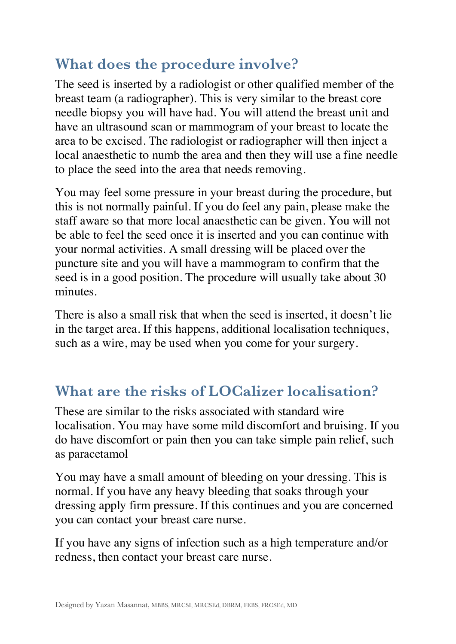## **What does the procedure involve?**

The seed is inserted by a radiologist or other qualified member of the breast team (a radiographer). This is very similar to the breast core needle biopsy you will have had. You will attend the breast unit and have an ultrasound scan or mammogram of your breast to locate the area to be excised. The radiologist or radiographer will then inject a local anaesthetic to numb the area and then they will use a fine needle to place the seed into the area that needs removing.

You may feel some pressure in your breast during the procedure, but this is not normally painful. If you do feel any pain, please make the staff aware so that more local anaesthetic can be given. You will not be able to feel the seed once it is inserted and you can continue with your normal activities. A small dressing will be placed over the puncture site and you will have a mammogram to confirm that the seed is in a good position. The procedure will usually take about 30 minutes.

There is also a small risk that when the seed is inserted, it doesn't lie in the target area. If this happens, additional localisation techniques, such as a wire, may be used when you come for your surgery.

## **What are the risks of LOCalizer localisation?**

These are similar to the risks associated with standard wire localisation. You may have some mild discomfort and bruising. If you do have discomfort or pain then you can take simple pain relief, such as paracetamol

You may have a small amount of bleeding on your dressing. This is normal. If you have any heavy bleeding that soaks through your dressing apply firm pressure. If this continues and you are concerned you can contact your breast care nurse.

If you have any signs of infection such as a high temperature and/or redness, then contact your breast care nurse.